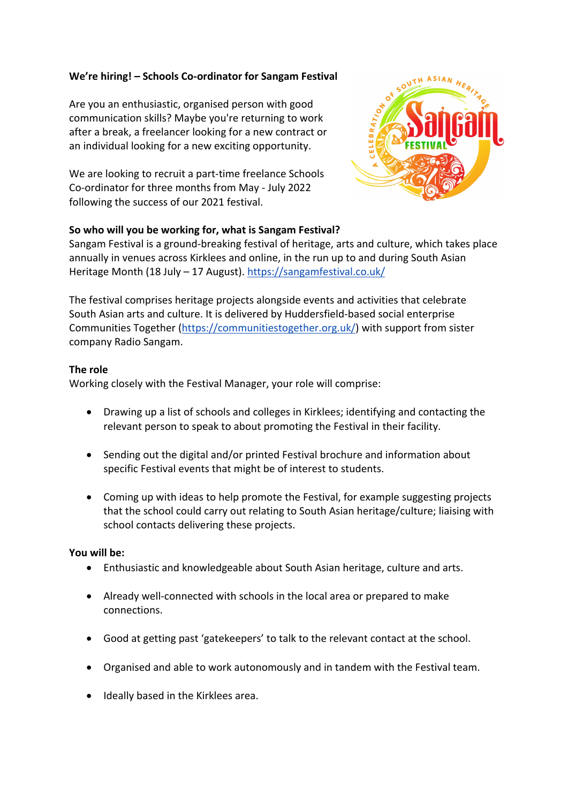## **We're hiring! – Schools Co-ordinator for Sangam Festival**

Are you an enthusiastic, organised person with good communication skills? Maybe you're returning to work after a break, a freelancer looking for a new contract or an individual looking for a new exciting opportunity.

We are looking to recruit a part-time freelance Schools Co-ordinator for three months from May - July 2022 following the success of our 2021 festival.



## **So who will you be working for, what is Sangam Festival?**

Sangam Festival is a ground-breaking festival of heritage, arts and culture, which takes place annually in venues across Kirklees and online, in the run up to and during South Asian Heritage Month (18 July – 17 August). https://sangamfestival.co.uk/

The festival comprises heritage projects alongside events and activities that celebrate South Asian arts and culture. It is delivered by Huddersfield-based social enterprise Communities Together (https://communitiestogether.org.uk/) with support from sister company Radio Sangam.

## **The role**

Working closely with the Festival Manager, your role will comprise:

- Drawing up a list of schools and colleges in Kirklees; identifying and contacting the relevant person to speak to about promoting the Festival in their facility.
- Sending out the digital and/or printed Festival brochure and information about specific Festival events that might be of interest to students.
- Coming up with ideas to help promote the Festival, for example suggesting projects that the school could carry out relating to South Asian heritage/culture; liaising with school contacts delivering these projects.

## **You will be:**

- Enthusiastic and knowledgeable about South Asian heritage, culture and arts.
- Already well-connected with schools in the local area or prepared to make connections.
- Good at getting past 'gatekeepers' to talk to the relevant contact at the school.
- Organised and able to work autonomously and in tandem with the Festival team.
- Ideally based in the Kirklees area.